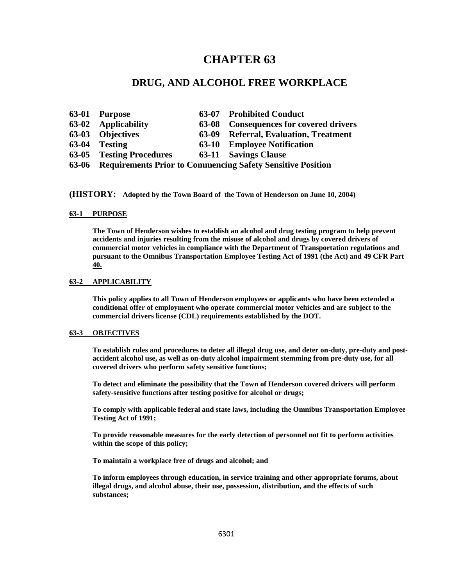# **CHAPTER 63**

# **DRUG, AND ALCOHOL FREE WORKPLACE**

| 63-01 Purpose                                                    |       | 63-07 Prohibited Conduct               |
|------------------------------------------------------------------|-------|----------------------------------------|
| 63-02 Applicability                                              |       | 63-08 Consequences for covered drivers |
| 63-03 Objectives                                                 | 63-09 | <b>Referral, Evaluation, Treatment</b> |
| 63-04 Testing                                                    | 63-10 | <b>Employee Notification</b>           |
| 63-05 Testing Procedures                                         |       | <b>63-11 Savings Clause</b>            |
| 63-06 Requirements Prior to Commencing Safety Sensitive Position |       |                                        |

**(HISTORY: Adopted by the Town Board of the Town of Henderson on June 10, 2004)**

#### **63-1 PURPOSE**

**The Town of Henderson wishes to establish an alcohol and drug testing program to help prevent accidents and injuries resulting from the misuse of alcohol and drugs by covered drivers of commercial motor vehicles in compliance with the Department of Transportation regulations and pursuant to the Omnibus Transportation Employee Testing Act of 1991 (the Act) and 49 CFR Part 40.** 

# **63-2 APPLICABILITY**

**This policy applies to all Town of Henderson employees or applicants who have been extended a conditional offer of employment who operate commercial motor vehicles and are subject to the commercial drivers license (CDL) requirements established by the DOT.**

#### **63-3 OBJECTIVES**

**To establish rules and procedures to deter all illegal drug use, and deter on-duty, pre-duty and postaccident alcohol use, as well as on-duty alcohol impairment stemming from pre-duty use, for all covered drivers who perform safety sensitive functions;**

**To detect and eliminate the possibility that the Town of Henderson covered drivers will perform safety-sensitive functions after testing positive for alcohol or drugs;**

**To comply with applicable federal and state laws, including the Omnibus Transportation Employee Testing Act of 1991;**

**To provide reasonable measures for the early detection of personnel not fit to perform activities within the scope of this policy;**

**To maintain a workplace free of drugs and alcohol; and**

**To inform employees through education, in service training and other appropriate forums, about illegal drugs, and alcohol abuse, their use, possession, distribution, and the effects of such substances;**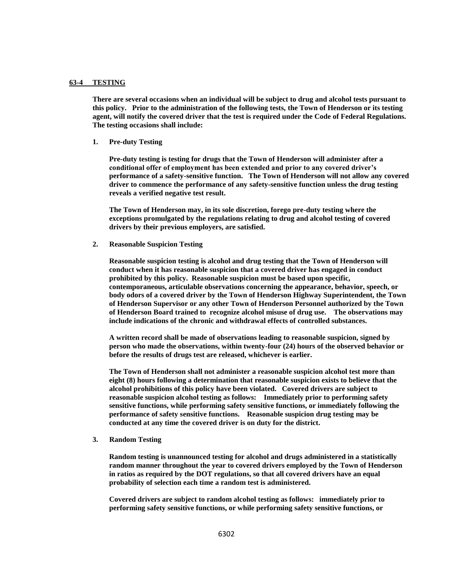#### **63-4 TESTING**

**There are several occasions when an individual will be subject to drug and alcohol tests pursuant to this policy. Prior to the administration of the following tests, the Town of Henderson or its testing agent, will notify the covered driver that the test is required under the Code of Federal Regulations. The testing occasions shall include:**

**1. Pre-duty Testing**

**Pre-duty testing is testing for drugs that the Town of Henderson will administer after a conditional offer of employment has been extended and prior to any covered driver's performance of a safety-sensitive function. The Town of Henderson will not allow any covered driver to commence the performance of any safety-sensitive function unless the drug testing reveals a verified negative test result.**

**The Town of Henderson may, in its sole discretion, forego pre-duty testing where the exceptions promulgated by the regulations relating to drug and alcohol testing of covered drivers by their previous employers, are satisfied.**

**2. Reasonable Suspicion Testing**

**Reasonable suspicion testing is alcohol and drug testing that the Town of Henderson will conduct when it has reasonable suspicion that a covered driver has engaged in conduct prohibited by this policy. Reasonable suspicion must be based upon specific, contemporaneous, articulable observations concerning the appearance, behavior, speech, or body odors of a covered driver by the Town of Henderson Highway Superintendent, the Town of Henderson Supervisor or any other Town of Henderson Personnel authorized by the Town of Henderson Board trained to recognize alcohol misuse of drug use. The observations may include indications of the chronic and withdrawal effects of controlled substances.**

**A written record shall be made of observations leading to reasonable suspicion, signed by person who made the observations, within twenty-four (24) hours of the observed behavior or before the results of drugs test are released, whichever is earlier.**

**The Town of Henderson shall not administer a reasonable suspicion alcohol test more than eight (8) hours following a determination that reasonable suspicion exists to believe that the alcohol prohibitions of this policy have been violated. Covered drivers are subject to reasonable suspicion alcohol testing as follows: Immediately prior to performing safety sensitive functions, while performing safety sensitive functions, or immediately following the performance of safety sensitive functions. Reasonable suspicion drug testing may be conducted at any time the covered driver is on duty for the district.**

**3. Random Testing**

**Random testing is unannounced testing for alcohol and drugs administered in a statistically random manner throughout the year to covered drivers employed by the Town of Henderson in ratios as required by the DOT regulations, so that all covered drivers have an equal probability of selection each time a random test is administered.**

**Covered drivers are subject to random alcohol testing as follows: immediately prior to performing safety sensitive functions, or while performing safety sensitive functions, or**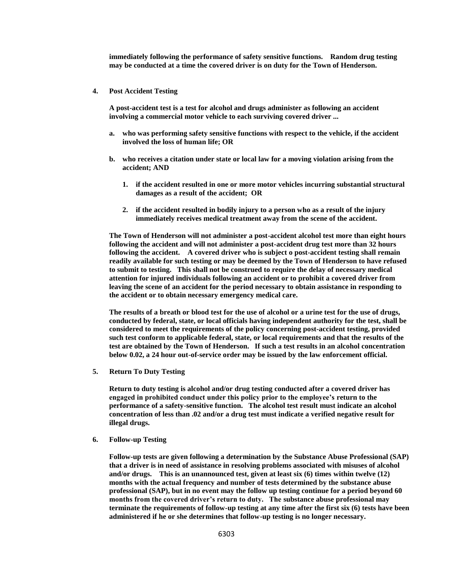**immediately following the performance of safety sensitive functions. Random drug testing may be conducted at a time the covered driver is on duty for the Town of Henderson.**

**4. Post Accident Testing**

**A post-accident test is a test for alcohol and drugs administer as following an accident involving a commercial motor vehicle to each surviving covered driver ...**

- **a. who was performing safety sensitive functions with respect to the vehicle, if the accident involved the loss of human life; OR**
- **b. who receives a citation under state or local law for a moving violation arising from the accident; AND**
	- **1. if the accident resulted in one or more motor vehicles incurring substantial structural damages as a result of the accident; OR**
	- **2. if the accident resulted in bodily injury to a person who as a result of the injury immediately receives medical treatment away from the scene of the accident.**

**The Town of Henderson will not administer a post-accident alcohol test more than eight hours following the accident and will not administer a post-accident drug test more than 32 hours following the accident. A covered driver who is subject o post-accident testing shall remain readily available for such testing or may be deemed by the Town of Henderson to have refused to submit to testing. This shall not be construed to require the delay of necessary medical attention for injured individuals following an accident or to prohibit a covered driver from leaving the scene of an accident for the period necessary to obtain assistance in responding to the accident or to obtain necessary emergency medical care.**

**The results of a breath or blood test for the use of alcohol or a urine test for the use of drugs, conducted by federal, state, or local officials having independent authority for the test, shall be considered to meet the requirements of the policy concerning post-accident testing, provided such test conform to applicable federal, state, or local requirements and that the results of the test are obtained by the Town of Henderson. If such a test results in an alcohol concentration below 0.02, a 24 hour out-of-service order may be issued by the law enforcement official.**

**5. Return To Duty Testing**

**Return to duty testing is alcohol and/or drug testing conducted after a covered driver has engaged in prohibited conduct under this policy prior to the employee's return to the performance of a safety-sensitive function. The alcohol test result must indicate an alcohol concentration of less than .02 and/or a drug test must indicate a verified negative result for illegal drugs.**

**6. Follow-up Testing**

**Follow-up tests are given following a determination by the Substance Abuse Professional (SAP) that a driver is in need of assistance in resolving problems associated with misuses of alcohol and/or drugs. This is an unannounced test, given at least six (6) times within twelve (12) months with the actual frequency and number of tests determined by the substance abuse professional (SAP), but in no event may the follow up testing continue for a period beyond 60 months from the covered driver's return to duty. The substance abuse professional may terminate the requirements of follow-up testing at any time after the first six (6) tests have been administered if he or she determines that follow-up testing is no longer necessary.**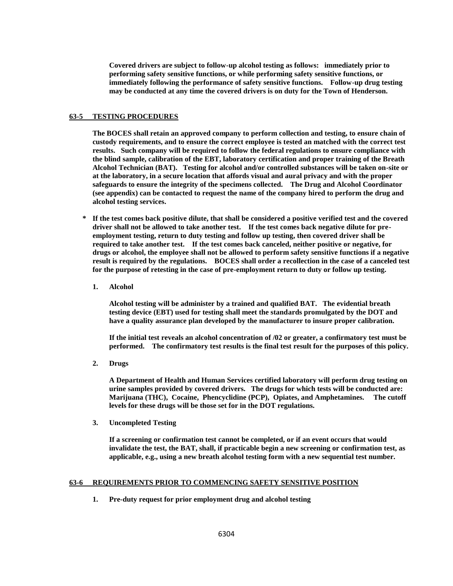**Covered drivers are subject to follow-up alcohol testing as follows: immediately prior to performing safety sensitive functions, or while performing safety sensitive functions, or immediately following the performance of safety sensitive functions. Follow-up drug testing may be conducted at any time the covered drivers is on duty for the Town of Henderson.**

# **63-5 TESTING PROCEDURES**

**The BOCES shall retain an approved company to perform collection and testing, to ensure chain of custody requirements, and to ensure the correct employee is tested an matched with the correct test results. Such company will be required to follow the federal regulations to ensure compliance with the blind sample, calibration of the EBT, laboratory certification and proper training of the Breath Alcohol Technician (BAT). Testing for alcohol and/or controlled substances will be taken on-site or at the laboratory, in a secure location that affords visual and aural privacy and with the proper safeguards to ensure the integrity of the specimens collected. The Drug and Alcohol Coordinator (see appendix) can be contacted to request the name of the company hired to perform the drug and alcohol testing services.**

- **\* If the test comes back positive dilute, that shall be considered a positive verified test and the covered driver shall not be allowed to take another test. If the test comes back negative dilute for preemployment testing, return to duty testing and follow up testing, then covered driver shall be required to take another test. If the test comes back canceled, neither positive or negative, for drugs or alcohol, the employee shall not be allowed to perform safety sensitive functions if a negative result is required by the regulations. BOCES shall order a recollection in the case of a canceled test for the purpose of retesting in the case of pre-employment return to duty or follow up testing.**
	- **1. Alcohol**

**Alcohol testing will be administer by a trained and qualified BAT. The evidential breath testing device (EBT) used for testing shall meet the standards promulgated by the DOT and have a quality assurance plan developed by the manufacturer to insure proper calibration.**

**If the initial test reveals an alcohol concentration of /02 or greater, a confirmatory test must be performed. The confirmatory test results is the final test result for the purposes of this policy.**

**2. Drugs**

**A Department of Health and Human Services certified laboratory will perform drug testing on urine samples provided by covered drivers. The drugs for which tests will be conducted are: Marijuana (THC), Cocaine, Phencyclidine (PCP), Opiates, and Amphetamines. The cutoff levels for these drugs will be those set for in the DOT regulations.**

**3. Uncompleted Testing**

**If a screening or confirmation test cannot be completed, or if an event occurs that would invalidate the test, the BAT, shall, if practicable begin a new screening or confirmation test, as applicable, e.g., using a new breath alcohol testing form with a new sequential test number.**

#### **63-6 REQUIREMENTS PRIOR TO COMMENCING SAFETY SENSITIVE POSITION**

**1. Pre-duty request for prior employment drug and alcohol testing**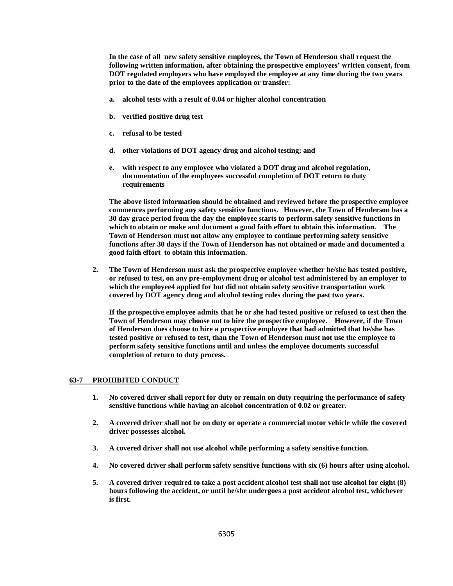**In the case of all new safety sensitive employees, the Town of Henderson shall request the following written information, after obtaining the prospective employees' written consent, from DOT regulated employers who have employed the employee at any time during the two years prior to the date of the employees application or transfer:**

- **a. alcohol tests with a result of 0.04 or higher alcohol concentration**
- **b. verified positive drug test**
- **c. refusal to be tested**
- **d. other violations of DOT agency drug and alcohol testing; and**
- **e. with respect to any employee who violated a DOT drug and alcohol regulation, documentation of the employees successful completion of DOT return to duty requirements**

**The above listed information should be obtained and reviewed before the prospective employee commences performing any safety sensitive functions. However, the Town of Henderson has a 30 day grace period from the day the employee starts to perform safety sensitive functions in which to obtain or make and document a good faith effort to obtain this information. The Town of Henderson must not allow any employee to continue performing safety sensitive functions after 30 days if the Town of Henderson has not obtained or made and documented a good faith effort to obtain this information.**

**2. The Town of Henderson must ask the prospective employee whether he/she has tested positive, or refused to test, on any pre-employment drug or alcohol test administered by an employer to which the employee4 applied for but did not obtain safety sensitive transportation work covered by DOT agency drug and alcohol testing rules during the past two years.**

**If the prospective employee admits that he or she had tested positive or refused to test then the Town of Henderson may choose not to hire the prospective employee. However, if the Town of Henderson does choose to hire a prospective employee that had admitted that he/she has tested positive or refused to test, than the Town of Henderson must not use the employee to perform safety sensitive functions until and unless the employee documents successful completion of return to duty process.**

#### **63-7 PROHIBITED CONDUCT**

- **1. No covered driver shall report for duty or remain on duty requiring the performance of safety sensitive functions while having an alcohol concentration of 0.02 or greater.**
- **2. A covered driver shall not be on duty or operate a commercial motor vehicle while the covered driver possesses alcohol.**
- **3. A covered driver shall not use alcohol while performing a safety sensitive function.**
- **4. No covered driver shall perform safety sensitive functions with six (6) hours after using alcohol.**
- **5. A covered driver required to take a post accident alcohol test shall not use alcohol for eight (8) hours following the accident, or until he/she undergoes a post accident alcohol test, whichever is first.**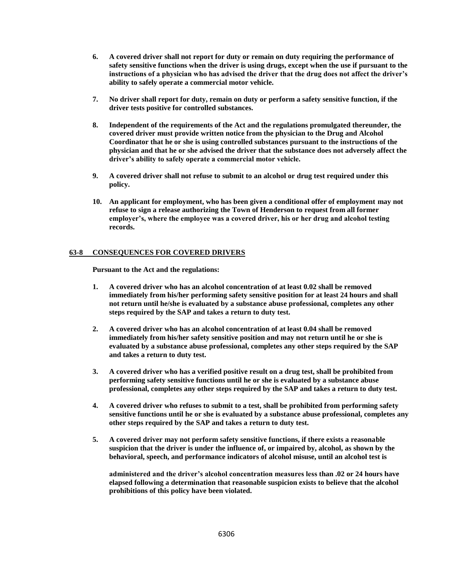- **6. A covered driver shall not report for duty or remain on duty requiring the performance of safety sensitive functions when the driver is using drugs, except when the use if pursuant to the instructions of a physician who has advised the driver that the drug does not affect the driver's ability to safely operate a commercial motor vehicle.**
- **7. No driver shall report for duty, remain on duty or perform a safety sensitive function, if the driver tests positive for controlled substances.**
- **8. Independent of the requirements of the Act and the regulations promulgated thereunder, the covered driver must provide written notice from the physician to the Drug and Alcohol Coordinator that he or she is using controlled substances pursuant to the instructions of the physician and that he or she advised the driver that the substance does not adversely affect the driver's ability to safely operate a commercial motor vehicle.**
- **9. A covered driver shall not refuse to submit to an alcohol or drug test required under this policy.**
- **10. An applicant for employment, who has been given a conditional offer of employment may not refuse to sign a release authorizing the Town of Henderson to request from all former employer's, where the employee was a covered driver, his or her drug and alcohol testing records.**

# **63-8 CONSEQUENCES FOR COVERED DRIVERS**

**Pursuant to the Act and the regulations:**

- **1. A covered driver who has an alcohol concentration of at least 0.02 shall be removed immediately from his/her performing safety sensitive position for at least 24 hours and shall not return until he/she is evaluated by a substance abuse professional, completes any other steps required by the SAP and takes a return to duty test.**
- **2. A covered driver who has an alcohol concentration of at least 0.04 shall be removed immediately from his/her safety sensitive position and may not return until he or she is evaluated by a substance abuse professional, completes any other steps required by the SAP and takes a return to duty test.**
- **3. A covered driver who has a verified positive result on a drug test, shall be prohibited from performing safety sensitive functions until he or she is evaluated by a substance abuse professional, completes any other steps required by the SAP and takes a return to duty test.**
- **4. A covered driver who refuses to submit to a test, shall be prohibited from performing safety sensitive functions until he or she is evaluated by a substance abuse professional, completes any other steps required by the SAP and takes a return to duty test.**
- **5. A covered driver may not perform safety sensitive functions, if there exists a reasonable suspicion that the driver is under the influence of, or impaired by, alcohol, as shown by the behavioral, speech, and performance indicators of alcohol misuse, until an alcohol test is**

**administered and the driver's alcohol concentration measures less than .02 or 24 hours have elapsed following a determination that reasonable suspicion exists to believe that the alcohol prohibitions of this policy have been violated.**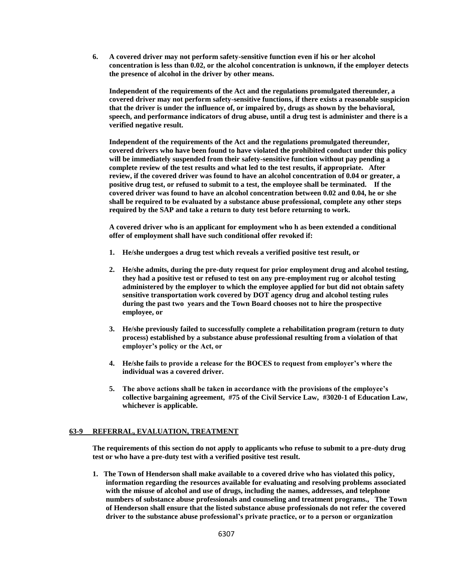**6. A covered driver may not perform safety-sensitive function even if his or her alcohol concentration is less than 0.02, or the alcohol concentration is unknown, if the employer detects the presence of alcohol in the driver by other means.**

**Independent of the requirements of the Act and the regulations promulgated thereunder, a covered driver may not perform safety-sensitive functions, if there exists a reasonable suspicion that the driver is under the influence of, or impaired by, drugs as shown by the behavioral, speech, and performance indicators of drug abuse, until a drug test is administer and there is a verified negative result.**

**Independent of the requirements of the Act and the regulations promulgated thereunder, covered drivers who have been found to have violated the prohibited conduct under this policy will be immediately suspended from their safety-sensitive function without pay pending a complete review of the test results and what led to the test results, if appropriate. After review, if the covered driver was found to have an alcohol concentration of 0.04 or greater, a positive drug test, or refused to submit to a test, the employee shall be terminated. If the covered driver was found to have an alcohol concentration between 0.02 and 0.04, he or she shall be required to be evaluated by a substance abuse professional, complete any other steps required by the SAP and take a return to duty test before returning to work.**

**A covered driver who is an applicant for employment who h as been extended a conditional offer of employment shall have such conditional offer revoked if:**

- **1. He/she undergoes a drug test which reveals a verified positive test result, or**
- **2. He/she admits, during the pre-duty request for prior employment drug and alcohol testing, they had a positive test or refused to test on any pre-employment rug or alcohol testing administered by the employer to which the employee applied for but did not obtain safety sensitive transportation work covered by DOT agency drug and alcohol testing rules during the past two years and the Town Board chooses not to hire the prospective employee, or**
- **3. He/she previously failed to successfully complete a rehabilitation program (return to duty process) established by a substance abuse professional resulting from a violation of that employer's policy or the Act, or**
- **4. He/she fails to provide a release for the BOCES to request from employer's where the individual was a covered driver.**
- **5. The above actions shall be taken in accordance with the provisions of the employee's collective bargaining agreement, #75 of the Civil Service Law, #3020-1 of Education Law, whichever is applicable.**

# **63-9 REFERRAL, EVALUATION, TREATMENT**

**The requirements of this section do not apply to applicants who refuse to submit to a pre-duty drug test or who have a pre-duty test with a verified positive test result.**

**1. The Town of Henderson shall make available to a covered drive who has violated this policy, information regarding the resources available for evaluating and resolving problems associated with the misuse of alcohol and use of drugs, including the names, addresses, and telephone numbers of substance abuse professionals and counseling and treatment programs., The Town of Henderson shall ensure that the listed substance abuse professionals do not refer the covered driver to the substance abuse professional's private practice, or to a person or organization**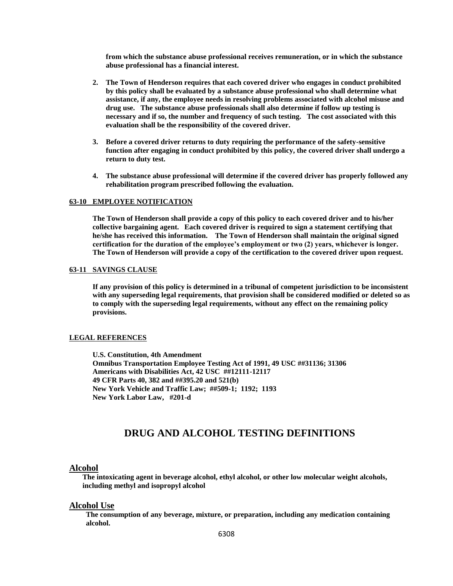**from which the substance abuse professional receives remuneration, or in which the substance abuse professional has a financial interest.**

- **2. The Town of Henderson requires that each covered driver who engages in conduct prohibited by this policy shall be evaluated by a substance abuse professional who shall determine what assistance, if any, the employee needs in resolving problems associated with alcohol misuse and drug use. The substance abuse professionals shall also determine if follow up testing is necessary and if so, the number and frequency of such testing. The cost associated with this evaluation shall be the responsibility of the covered driver.**
- **3. Before a covered driver returns to duty requiring the performance of the safety-sensitive function after engaging in conduct prohibited by this policy, the covered driver shall undergo a return to duty test.**
- **4. The substance abuse professional will determine if the covered driver has properly followed any rehabilitation program prescribed following the evaluation.**

#### **63-10 EMPLOYEE NOTIFICATION**

**The Town of Henderson shall provide a copy of this policy to each covered driver and to his/her collective bargaining agent. Each covered driver is required to sign a statement certifying that he/she has received this information. The Town of Henderson shall maintain the original signed certification for the duration of the employee's employment or two (2) years, whichever is longer. The Town of Henderson will provide a copy of the certification to the covered driver upon request.**

#### **63-11 SAVINGS CLAUSE**

**If any provision of this policy is determined in a tribunal of competent jurisdiction to be inconsistent with any superseding legal requirements, that provision shall be considered modified or deleted so as to comply with the superseding legal requirements, without any effect on the remaining policy provisions.**

#### **LEGAL REFERENCES**

**U.S. Constitution, 4th Amendment Omnibus Transportation Employee Testing Act of 1991, 49 USC ##31136; 31306 Americans with Disabilities Act, 42 USC ##12111-12117 49 CFR Parts 40, 382 and ##395.20 and 521(b) New York Vehicle and Traffic Law; ##509-1; 1192; 1193 New York Labor Law, #201-d**

# **DRUG AND ALCOHOL TESTING DEFINITIONS**

#### **Alcohol**

**The intoxicating agent in beverage alcohol, ethyl alcohol, or other low molecular weight alcohols, including methyl and isopropyl alcohol**

# **Alcohol Use**

**The consumption of any beverage, mixture, or preparation, including any medication containing alcohol.**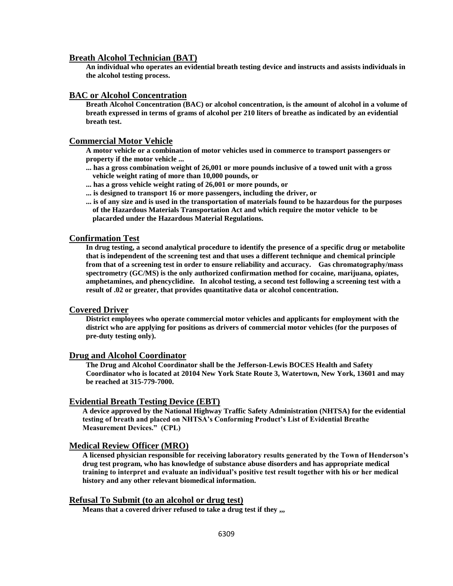# **Breath Alcohol Technician (BAT)**

**An individual who operates an evidential breath testing device and instructs and assists individuals in the alcohol testing process.**

# **BAC or Alcohol Concentration**

**Breath Alcohol Concentration (BAC) or alcohol concentration, is the amount of alcohol in a volume of breath expressed in terms of grams of alcohol per 210 liters of breathe as indicated by an evidential breath test.**

## **Commercial Motor Vehicle**

**A motor vehicle or a combination of motor vehicles used in commerce to transport passengers or property if the motor vehicle ...** 

- **... has a gross combination weight of 26,001 or more pounds inclusive of a towed unit with a gross vehicle weight rating of more than 10,000 pounds, or**
- **... has a gross vehicle weight rating of 26,001 or more pounds, or**
- **... is designed to transport 16 or more passengers, including the driver, or**
- **... is of any size and is used in the transportation of materials found to be hazardous for the purposes of the Hazardous Materials Transportation Act and which require the motor vehicle to be placarded under the Hazardous Material Regulations.**

# **Confirmation Test**

**In drug testing, a second analytical procedure to identify the presence of a specific drug or metabolite that is independent of the screening test and that uses a different technique and chemical principle from that of a screening test in order to ensure reliability and accuracy. Gas chromatography/mass spectrometry (GC/MS) is the only authorized confirmation method for cocaine, marijuana, opiates, amphetamines, and phencyclidine. In alcohol testing, a second test following a screening test with a result of .02 or greater, that provides quantitative data or alcohol concentration.**

# **Covered Driver**

**District employees who operate commercial motor vehicles and applicants for employment with the district who are applying for positions as drivers of commercial motor vehicles (for the purposes of pre-duty testing only).**

#### **Drug and Alcohol Coordinator**

**The Drug and Alcohol Coordinator shall be the Jefferson-Lewis BOCES Health and Safety Coordinator who is located at 20104 New York State Route 3, Watertown, New York, 13601 and may be reached at 315-779-7000.**

# **Evidential Breath Testing Device (EBT)**

**A device approved by the National Highway Traffic Safety Administration (NHTSA) for the evidential testing of breath and placed on NHTSA's Conforming Product's List of Evidential Breathe Measurement Devices." (CPL)**

# **Medical Review Officer (MRO)**

**A licensed physician responsible for receiving laboratory results generated by the Town of Henderson's drug test program, who has knowledge of substance abuse disorders and has appropriate medical training to interpret and evaluate an individual's positive test result together with his or her medical history and any other relevant biomedical information.**

## **Refusal To Submit (to an alcohol or drug test)**

**Means that a covered driver refused to take a drug test if they ,,,**